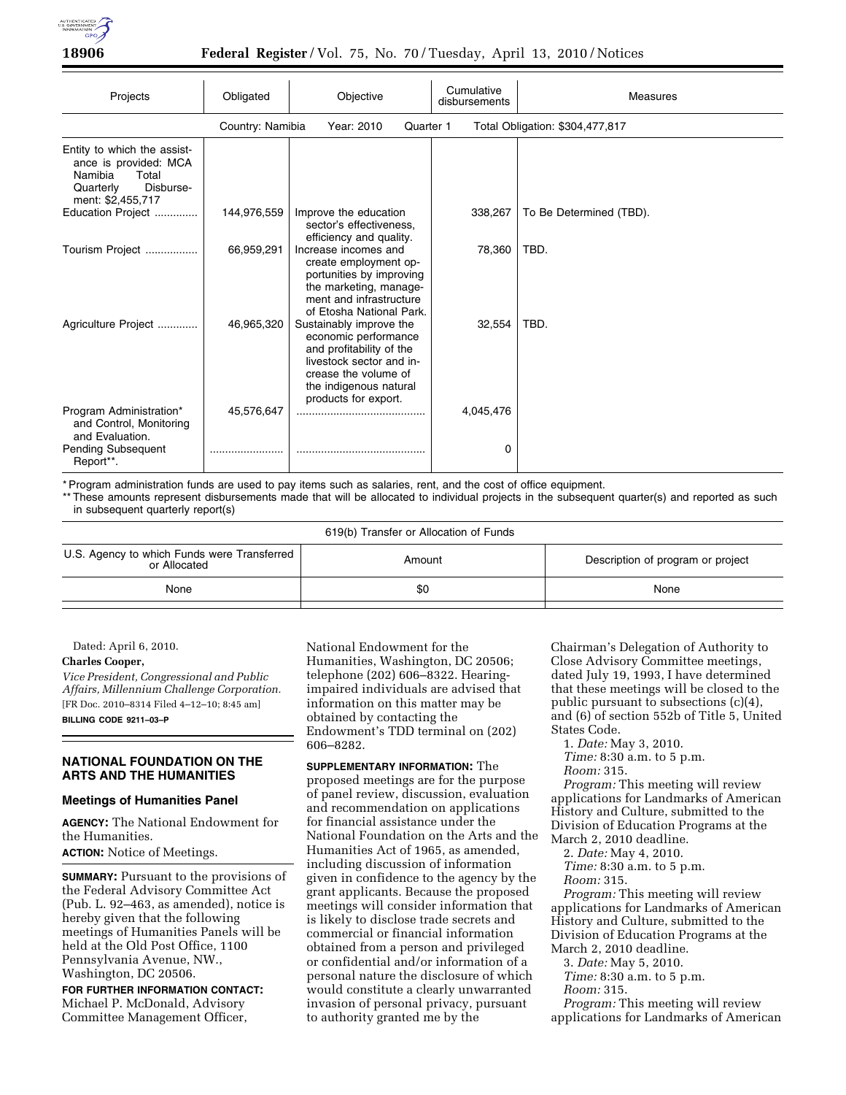

### **18906 Federal Register** / Vol. 75, No. 70 / Tuesday, April 13, 2010 / Notices

| Projects                                                                                                                | Obligated   | Objective                                                                                                                                                                         | Cumulative<br>disbursements | Measures                |  |
|-------------------------------------------------------------------------------------------------------------------------|-------------|-----------------------------------------------------------------------------------------------------------------------------------------------------------------------------------|-----------------------------|-------------------------|--|
| Country: Namibia<br>Total Obligation: \$304,477,817<br>Year: 2010<br>Quarter 1                                          |             |                                                                                                                                                                                   |                             |                         |  |
| Entity to which the assist-<br>ance is provided: MCA<br>Namibia<br>Total<br>Disburse-<br>Quarterly<br>ment: \$2,455,717 |             |                                                                                                                                                                                   |                             |                         |  |
| Education Project                                                                                                       | 144,976,559 | Improve the education<br>sector's effectiveness,<br>efficiency and quality.                                                                                                       | 338,267                     | To Be Determined (TBD). |  |
| Tourism Project                                                                                                         | 66,959,291  | Increase incomes and<br>create employment op-<br>portunities by improving<br>the marketing, manage-<br>ment and infrastructure<br>of Etosha National Park.                        | 78,360                      | TBD.                    |  |
| Agriculture Project                                                                                                     | 46,965,320  | Sustainably improve the<br>economic performance<br>and profitability of the<br>livestock sector and in-<br>crease the volume of<br>the indigenous natural<br>products for export. | 32,554                      | TBD.                    |  |
| Program Administration*<br>and Control, Monitoring<br>and Evaluation.                                                   | 45,576,647  |                                                                                                                                                                                   | 4,045,476                   |                         |  |
| <b>Pending Subsequent</b><br>Report**.                                                                                  |             |                                                                                                                                                                                   | 0                           |                         |  |

\* Program administration funds are used to pay items such as salaries, rent, and the cost of office equipment.

\*\* These amounts represent disbursements made that will be allocated to individual projects in the subsequent quarter(s) and reported as such in subsequent quarterly report(s)

| 619(b) Transfer or Allocation of Funds                      |        |                                   |  |  |  |
|-------------------------------------------------------------|--------|-----------------------------------|--|--|--|
| U.S. Agency to which Funds were Transferred<br>or Allocated | Amount | Description of program or project |  |  |  |
| None                                                        | \$0    | None                              |  |  |  |
|                                                             |        |                                   |  |  |  |

Dated: April 6, 2010.

## **Charles Cooper,**

*Vice President, Congressional and Public Affairs, Millennium Challenge Corporation.*  [FR Doc. 2010–8314 Filed 4–12–10; 8:45 am] **BILLING CODE 9211–03–P** 

#### **NATIONAL FOUNDATION ON THE ARTS AND THE HUMANITIES**

### **Meetings of Humanities Panel**

**AGENCY:** The National Endowment for the Humanities. **ACTION:** Notice of Meetings.

**SUMMARY:** Pursuant to the provisions of the Federal Advisory Committee Act (Pub. L. 92–463, as amended), notice is hereby given that the following meetings of Humanities Panels will be held at the Old Post Office, 1100 Pennsylvania Avenue, NW., Washington, DC 20506.

**FOR FURTHER INFORMATION CONTACT:**  Michael P. McDonald, Advisory Committee Management Officer,

National Endowment for the Humanities, Washington, DC 20506; telephone (202) 606–8322. Hearingimpaired individuals are advised that information on this matter may be obtained by contacting the Endowment's TDD terminal on (202) 606–8282.

**SUPPLEMENTARY INFORMATION:** The proposed meetings are for the purpose of panel review, discussion, evaluation and recommendation on applications for financial assistance under the National Foundation on the Arts and the Humanities Act of 1965, as amended, including discussion of information given in confidence to the agency by the grant applicants. Because the proposed meetings will consider information that is likely to disclose trade secrets and commercial or financial information obtained from a person and privileged or confidential and/or information of a personal nature the disclosure of which would constitute a clearly unwarranted invasion of personal privacy, pursuant to authority granted me by the

Chairman's Delegation of Authority to Close Advisory Committee meetings, dated July 19, 1993, I have determined that these meetings will be closed to the public pursuant to subsections (c)(4), and (6) of section 552b of Title 5, United States Code.

1. *Date:* May 3, 2010. *Time:* 8:30 a.m. to 5 p.m.

*Room:* 315.

*Program:* This meeting will review applications for Landmarks of American History and Culture, submitted to the Division of Education Programs at the March 2, 2010 deadline.

2. *Date:* May 4, 2010.

*Time:* 8:30 a.m. to 5 p.m. *Room:* 315.

*Program:* This meeting will review applications for Landmarks of American History and Culture, submitted to the Division of Education Programs at the March 2, 2010 deadline.

3. *Date:* May 5, 2010.

*Time:* 8:30 a.m. to 5 p.m.

*Room:* 315.

*Program:* This meeting will review applications for Landmarks of American